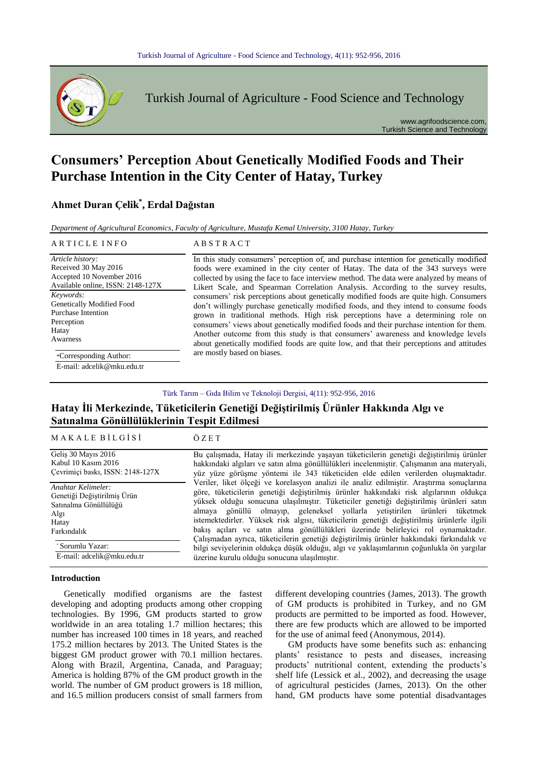

Turkish Journal of Agriculture - Food Science and Technology

www.agrifoodscience.com, Turkish Science and Technology

# **Consumers' Perception About Genetically Modified Foods and Their Purchase Intention in the City Center of Hatay, Turkey**

# **Ahmet Duran Çelik\* , Erdal Dağıstan**

*Department of Agricultural Economics, Faculty of Agriculture, Mustafa Kemal University, 3100 Hatay, Turkey*

#### ARTICLE INFO<br>
ABSTRACT

*Article history:* Received 30 May 2016 Accepted 10 November 2016 Available online, ISSN: 2148-127X *Keywords:* Genetically Modified Food Purchase Intention Perception Hatay Awarness \*Corresponding Author:

E-mail: adcelik@mku.edu.tr

In this study consumers' perception of, and purchase intention for genetically modified foods were examined in the city center of Hatay. The data of the 343 surveys were collected by using the face to face interview method. The data were analyzed by means of Likert Scale, and Spearman Correlation Analysis. According to the survey results, consumers' risk perceptions about genetically modified foods are quite high. Consumers don't willingly purchase genetically modified foods, and they intend to consume foods grown in traditional methods. High risk perceptions have a determining role on consumers' views about genetically modified foods and their purchase intention for them. Another outcome from this study is that consumers' awareness and knowledge levels about genetically modified foods are quite low, and that their perceptions and attitudes are mostly based on biases.

### Türk Tarım – Gıda Bilim ve Teknoloji Dergisi, 4(11): 952-956, 2016

## **Hatay İli Merkezinde, Tüketicilerin Genetiği Değiştirilmiş Ürünler Hakkında Algı ve Satınalma Gönüllülüklerinin Tespit Edilmesi**

| MAKALEBILGISI                                                                                                                  | $\ddot{\text{O}}$ Z E T                                                                                                                                                                                                                                                                                                                                                                                                                                                                                                                                                                                                                                                                                                                |
|--------------------------------------------------------------------------------------------------------------------------------|----------------------------------------------------------------------------------------------------------------------------------------------------------------------------------------------------------------------------------------------------------------------------------------------------------------------------------------------------------------------------------------------------------------------------------------------------------------------------------------------------------------------------------------------------------------------------------------------------------------------------------------------------------------------------------------------------------------------------------------|
| Gelis 30 Mayıs 2016<br>Kabul 10 Kasım 2016<br>Cevrimiçi baskı, ISSN: 2148-127X                                                 | Bu çalışmada, Hatay ili merkezinde yaşayan tüketicilerin genetiği değiştirilmiş ürünler<br>hakkındaki algıları ve satın alma gönüllülükleri incelenmiştir. Çalışmanın ana materyali,<br>yüz yüze görüşme yöntemi ile 343 tüketiciden elde edilen verilerden oluşmaktadır.                                                                                                                                                                                                                                                                                                                                                                                                                                                              |
| Anahtar Kelimeler:<br>Genetiği Değiştirilmiş Ürün<br>Satınalma Gönüllülüğü<br>Algı<br>Hatay<br>Farkındalık<br>* Sorumlu Yazar: | Veriler, liket ölçeği ve korelasyon analizi ile analiz edilmiştir. Araştırma sonuçlarına<br>göre, tüketicilerin genetiği değiştirilmiş ürünler hakkındaki risk algılarının oldukça<br>yüksek olduğu sonucuna ulasılmıştır. Tüketiciler genetiği değiştirilmiş ürünleri satın<br>almaya gönüllü olmayıp, geleneksel yollarla yetiştirilen ürünleri tüketmek<br>istemektedirler. Yüksek risk algısı, tüketicilerin genetiği değiştirilmiş ürünlerle ilgili<br>bakış açıları ve satın alma gönüllülükleri üzerinde belirleyici rol oynamaktadır.<br>Çalışmadan ayrıca, tüketicilerin genetiği değiştirilmiş ürünler hakkındaki farkındalık ve<br>bilgi seviyelerinin oldukça düşük olduğu, algı ve yaklaşımlarının çoğunlukla ön yargılar |
| E-mail: adcelik@mku.edu.tr                                                                                                     | üzerine kurulu olduğu sonucuna ulaşılmıştır.                                                                                                                                                                                                                                                                                                                                                                                                                                                                                                                                                                                                                                                                                           |

### **Introduction**

Genetically modified organisms are the fastest developing and adopting products among other cropping technologies. By 1996, GM products started to grow worldwide in an area totaling 1.7 million hectares; this number has increased 100 times in 18 years, and reached 175.2 million hectares by 2013. The United States is the biggest GM product grower with 70.1 million hectares. Along with Brazil, Argentina, Canada, and Paraguay; America is holding 87% of the GM product growth in the world. The number of GM product growers is 18 million, and 16.5 million producers consist of small farmers from

different developing countries (James, 2013). The growth of GM products is prohibited in Turkey, and no GM products are permitted to be imported as food. However, there are few products which are allowed to be imported for the use of animal feed (Anonymous, 2014).

GM products have some benefits such as: enhancing plants' resistance to pests and diseases, increasing products' nutritional content, extending the products's shelf life (Lessick et al., 2002), and decreasing the usage of agricultural pesticides (James, 2013). On the other hand, GM products have some potential disadvantages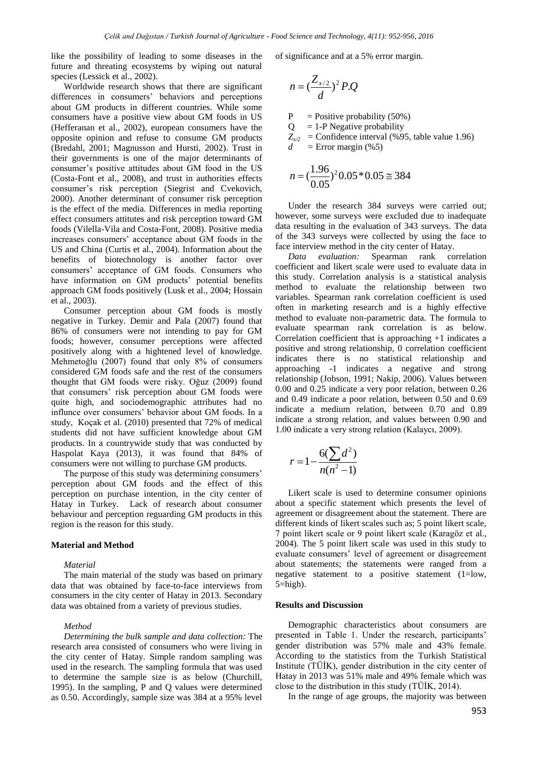like the possibility of leading to some diseases in the future and threating ecosystems by wiping out natural species (Lessick et al., 2002).

Worldwide research shows that there are significant differences in consumers' behaviors and perceptions about GM products in different countries. While some consumers have a positive view about GM foods in US (Hefferanan et al., 2002), european consumers have the opposite opinion and refuse to consume GM products (Bredahl, 2001; Magnusson and Hursti, 2002). Trust in their governments is one of the major determinants of consumer's positive attitudes about GM food in the US (Costa-Font et al., 2008), and trust in authorities effects consumer's risk perception (Siegrist and Cvekovich, 2000). Another determinant of consumer risk perception is the effect of the media. Differences in media reporting effect consumers attitutes and risk perception toward GM foods (Vilella-Vila and Costa-Font, 2008). Positive media increases consumers' acceptance about GM foods in the US and China (Curtis et al., 2004). Information about the benefits of biotechnology is another factor over consumers' acceptance of GM foods. Consumers who have information on GM products' potential benefits approach GM foods positively (Lusk et al., 2004; Hossain et al., 2003).

Consumer perception about GM foods is mostly negative in Turkey. Demir and Pala (2007) found that 86% of consumers were not intending to pay for GM foods; however, consumer perceptions were affected positively along with a hightened level of knowledge. Mehmetoğlu (2007) found that only 8% of consumers considered GM foods safe and the rest of the consumers thought that GM foods were risky. Oğuz (2009) found that consumers' risk perception about GM foods were quite high, and sociodemographic attributes had no influnce over consumers' behavior about GM foods. In a study, Koçak et al. (2010) presented that 72% of medical students did not have sufficient knowledge about GM products. In a countrywide study that was conducted by Haspolat Kaya (2013), it was found that 84% of consumers were not willing to purchase GM products.

The purpose of this study was determining consumers' perception about GM foods and the effect of this perception on purchase intention, in the city center of Hatay in Turkey. Lack of research about consumer behaviour and perception reguarding GM products in this region is the reason for this study.

#### **Material and Method**

#### *Material*

The main material of the study was based on primary data that was obtained by face-to-face interviews from consumers in the city center of Hatay in 2013. Secondary data was obtained from a variety of previous studies.

#### *Method*

*Determining the bulk sample and data collection:* The research area consisted of consumers who were living in the city center of Hatay. Simple random sampling was used in the research. The sampling formula that was used to determine the sample size is as below (Churchill, 1995). In the sampling, P and Q values were determined as 0.50. Accordingly, sample size was 384 at a 95% level of significance and at a 5% error margin.

$$
n = \left(\frac{Z_{x/2}}{d}\right)^2 P.Q
$$

 $P =$ Positive probability (50%)

 $Q = 1-P$  Negative probability

 $Z_{x2}$  = Confidence interval (%95, table value 1.96)  $d =$  Error margin (%5)

$$
n = (\frac{1.96}{0.05})^2 0.05 * 0.05 \approx 384
$$

Under the research 384 surveys were carried out; however, some surveys were excluded due to inadequate data resulting in the evaluation of 343 surveys. The data of the 343 surveys were collected by using the face to face interview method in the city center of Hatay.

*Data evaluation:* Spearman rank correlation coefficient and likert scale were used to evaluate data in this study. Correlation analysis is a statistical analysis method to evaluate the relationship between two variables. Spearman rank correlation coefficient is used often in marketing research and is a highly effective method to evaluate non-parametric data. The formula to evaluate spearman rank correlation is as below. Correlation coefficient that is approaching +1 indicates a positive and strong relationship, 0 correlation coefficient indicates there is no statistical relationship and approaching -1 indicates a negative and strong relationship (Jobson, 1991; Nakip, 2006). Values between 0.00 and 0.25 indicate a very poor relation, between 0.26 and 0.49 indicate a poor relation, between 0.50 and 0.69 indicate a medium relation, between 0.70 and 0.89 indicate a strong relation, and values between 0.90 and 1.00 indicate a very strong relation (Kalaycı, 2009).

$$
r = 1 - \frac{6(\sum d^2)}{n(n^2 - 1)}
$$

Likert scale is used to determine consumer opinions about a specific statement which presents the level of agreement or disagreement about the statement. There are different kinds of likert scales such as; 5 point likert scale, 7 point likert scale or 9 point likert scale (Karagöz et al., 2004). The 5 point likert scale was used in this study to evaluate consumers' level of agreement or disagreement about statements; the statements were ranged from a negative statement to a positive statement (1=low, 5=high).

#### **Results and Discussion**

Demographic characteristics about consumers are presented in Table 1. Under the research, participants' gender distribution was 57% male and 43% female. According to the statistics from the Turkish Statistical Institute (TÜİK), gender distribution in the city center of Hatay in 2013 was 51% male and 49% female which was close to the distribution in this study (TÜİK, 2014).

In the range of age groups, the majority was between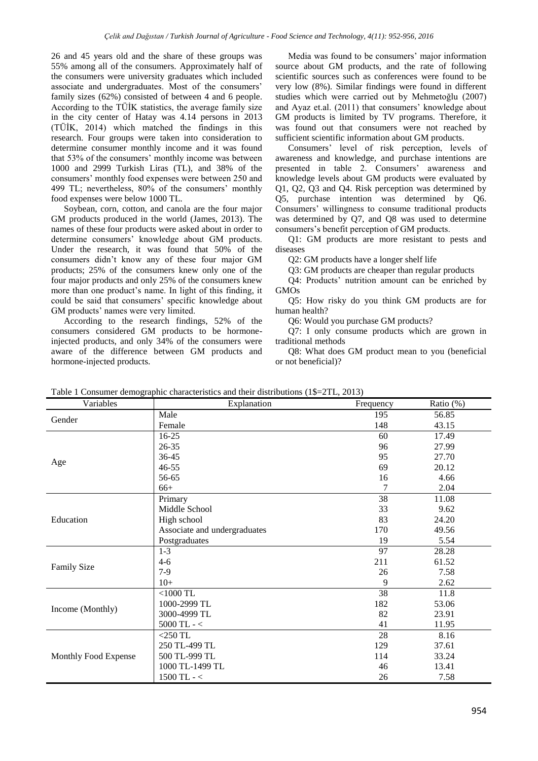26 and 45 years old and the share of these groups was 55% among all of the consumers. Approximately half of the consumers were university graduates which included associate and undergraduates. Most of the consumers' family sizes (62%) consisted of between 4 and 6 people. According to the TÜİK statistics, the average family size in the city center of Hatay was 4.14 persons in 2013 (TÜİK, 2014) which matched the findings in this research. Four groups were taken into consideration to determine consumer monthly income and it was found that 53% of the consumers' monthly income was between 1000 and 2999 Turkish Liras (TL), and 38% of the consumers' monthly food expenses were between 250 and 499 TL; nevertheless, 80% of the consumers' monthly food expenses were below 1000 TL.

Soybean, corn, cotton, and canola are the four major GM products produced in the world (James, 2013). The names of these four products were asked about in order to determine consumers' knowledge about GM products. Under the research, it was found that 50% of the consumers didn't know any of these four major GM products; 25% of the consumers knew only one of the four major products and only 25% of the consumers knew more than one product's name. In light of this finding, it could be said that consumers' specific knowledge about GM products' names were very limited.

According to the research findings, 52% of the consumers considered GM products to be hormoneinjected products, and only 34% of the consumers were aware of the difference between GM products and hormone-injected products.

Media was found to be consumers' major information source about GM products, and the rate of following scientific sources such as conferences were found to be very low (8%). Similar findings were found in different studies which were carried out by Mehmetoğlu (2007) and Ayaz et.al. (2011) that consumers' knowledge about GM products is limited by TV programs. Therefore, it was found out that consumers were not reached by sufficient scientific information about GM products.

Consumers' level of risk perception, levels of awareness and knowledge, and purchase intentions are presented in table 2. Consumers' awareness and knowledge levels about GM products were evaluated by Q1, Q2, Q3 and Q4. Risk perception was determined by Q5, purchase intention was determined by Q6. Consumers' willingness to consume traditional products was determined by Q7, and Q8 was used to determine consumers's benefit perception of GM products.

Q1: GM products are more resistant to pests and diseases

Q2: GM products have a longer shelf life

Q3: GM products are cheaper than regular products

Q4: Products' nutrition amount can be enriched by GMOs

Q5: How risky do you think GM products are for human health?

Q6: Would you purchase GM products?

Q7: I only consume products which are grown in traditional methods

Q8: What does GM product mean to you (beneficial or not beneficial)?

| Variables            | Explanation                  | Frequency | Ratio (%) |
|----------------------|------------------------------|-----------|-----------|
|                      | Male                         | 195       | 56.85     |
| Gender               | Female                       | 148       | 43.15     |
|                      | $16-25$                      | 60        | 17.49     |
|                      | $26 - 35$                    | 96        | 27.99     |
|                      | 36-45                        | 95        | 27.70     |
| Age                  | $46 - 55$                    | 69        | 20.12     |
|                      | 56-65                        | 16        | 4.66      |
|                      | $66+$                        | 7         | 2.04      |
|                      | Primary                      | 38        | 11.08     |
|                      | Middle School                | 33        | 9.62      |
| Education            | High school                  | 83        | 24.20     |
|                      | Associate and undergraduates | 170       | 49.56     |
|                      | Postgraduates                | 19        | 5.54      |
|                      | $1 - 3$                      | 97        | 28.28     |
|                      | $4-6$                        | 211       | 61.52     |
| <b>Family Size</b>   | $7-9$                        | 26        | 7.58      |
|                      | $10+$                        | 9         | 2.62      |
| Income (Monthly)     | $<$ 1000 TL                  | 38        | 11.8      |
|                      | 1000-2999 TL                 | 182       | 53.06     |
|                      | 3000-4999 TL                 | 82        | 23.91     |
|                      | $5000$ TL - $<\,$            | 41        | 11.95     |
| Monthly Food Expense | $<$ 250 TL                   | 28        | 8.16      |
|                      | 250 TL-499 TL                | 129       | 37.61     |
|                      | 500 TL-999 TL                | 114       | 33.24     |
|                      | 1000 TL-1499 TL              | 46        | 13.41     |
|                      | $1500$ TL - $<$              | 26        | 7.58      |

Table 1 Consumer demographic characteristics and their distributions (1\$=2TL, 2013)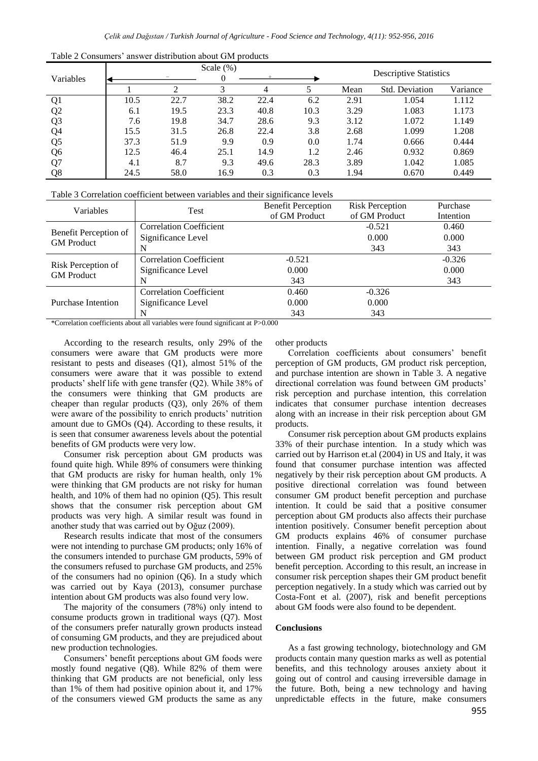| Variables      | Scale $(\%)$ |      |      |      | <b>Descriptive Statistics</b> |      |                       |          |
|----------------|--------------|------|------|------|-------------------------------|------|-----------------------|----------|
|                |              | ◠    | 3    | 4    |                               | Mean | <b>Std. Deviation</b> | Variance |
| Q <sub>1</sub> | 10.5         | 22.7 | 38.2 | 22.4 | 6.2                           | 2.91 | 1.054                 | 1.112    |
| Q <sub>2</sub> | 6.1          | 19.5 | 23.3 | 40.8 | 10.3                          | 3.29 | 1.083                 | 1.173    |
| Q <sub>3</sub> | 7.6          | 19.8 | 34.7 | 28.6 | 9.3                           | 3.12 | 1.072                 | 1.149    |
| Q <sub>4</sub> | 15.5         | 31.5 | 26.8 | 22.4 | 3.8                           | 2.68 | 1.099                 | 1.208    |
| Q <sub>5</sub> | 37.3         | 51.9 | 9.9  | 0.9  | 0.0                           | 1.74 | 0.666                 | 0.444    |
| Q <sub>6</sub> | 12.5         | 46.4 | 25.1 | 14.9 | 1.2                           | 2.46 | 0.932                 | 0.869    |
| Q7             | 4.1          | 8.7  | 9.3  | 49.6 | 28.3                          | 3.89 | 1.042                 | 1.085    |
| Q8             | 24.5         | 58.0 | 16.9 | 0.3  | 0.3                           | 1.94 | 0.670                 | 0.449    |

Table 2 Consumers' answer distribution about GM products

Table 3 Correlation coefficient between variables and their significance levels

| <b>Variables</b>                           | Test                           | <b>Benefit Perception</b> | <b>Risk Perception</b> | Purchase  |
|--------------------------------------------|--------------------------------|---------------------------|------------------------|-----------|
|                                            |                                | of GM Product             | of GM Product          | Intention |
| Benefit Perception of<br><b>GM</b> Product | <b>Correlation Coefficient</b> |                           | $-0.521$               | 0.460     |
|                                            | Significance Level             |                           | 0.000                  | 0.000     |
|                                            | N                              |                           | 343                    | 343       |
| Risk Perception of<br><b>GM</b> Product    | <b>Correlation Coefficient</b> | $-0.521$                  |                        | $-0.326$  |
|                                            | Significance Level             | 0.000                     |                        | 0.000     |
|                                            | N                              | 343                       |                        | 343       |
| <b>Purchase Intention</b>                  | <b>Correlation Coefficient</b> | 0.460                     | $-0.326$               |           |
|                                            | Significance Level             | 0.000                     | 0.000                  |           |
|                                            | N                              | 343                       | 343                    |           |

\*Correlation coefficients about all variables were found significant at P>0.000

According to the research results, only 29% of the consumers were aware that GM products were more resistant to pests and diseases (Q1), almost 51% of the consumers were aware that it was possible to extend products' shelf life with gene transfer (Q2). While 38% of the consumers were thinking that GM products are cheaper than regular products (Q3), only 26% of them were aware of the possibility to enrich products' nutrition amount due to GMOs (Q4). According to these results, it is seen that consumer awareness levels about the potential benefits of GM products were very low.

Consumer risk perception about GM products was found quite high. While 89% of consumers were thinking that GM products are risky for human health, only 1% were thinking that GM products are not risky for human health, and 10% of them had no opinion (Q5). This result shows that the consumer risk perception about GM products was very high. A similar result was found in another study that was carried out by Oğuz (2009).

Research results indicate that most of the consumers were not intending to purchase GM products; only 16% of the consumers intended to purchase GM products, 59% of the consumers refused to purchase GM products, and 25% of the consumers had no opinion (Q6). In a study which was carried out by Kaya (2013), consumer purchase intention about GM products was also found very low.

The majority of the consumers (78%) only intend to consume products grown in traditional ways (Q7). Most of the consumers prefer naturally grown products instead of consuming GM products, and they are prejudiced about new production technologies.

Consumers' benefit perceptions about GM foods were mostly found negative (Q8). While 82% of them were thinking that GM products are not beneficial, only less than 1% of them had positive opinion about it, and 17% of the consumers viewed GM products the same as any other products

Correlation coefficients about consumers' benefit perception of GM products, GM product risk perception, and purchase intention are shown in Table 3. A negative directional correlation was found between GM products' risk perception and purchase intention, this correlation indicates that consumer purchase intention decreases along with an increase in their risk perception about GM products.

Consumer risk perception about GM products explains 33% of their purchase intention. In a study which was carried out by Harrison et.al (2004) in US and Italy, it was found that consumer purchase intention was affected negatively by their risk perception about GM products. A positive directional correlation was found between consumer GM product benefit perception and purchase intention. It could be said that a positive consumer perception about GM products also affects their purchase intention positively. Consumer benefit perception about GM products explains 46% of consumer purchase intention. Finally, a negative correlation was found between GM product risk perception and GM product benefit perception. According to this result, an increase in consumer risk perception shapes their GM product benefit perception negatively. In a study which was carried out by Costa-Font et al. (2007), risk and benefit perceptions about GM foods were also found to be dependent.

### **Conclusions**

As a fast growing technology, biotechnology and GM products contain many question marks as well as potential benefits, and this technology arouses anxiety about it going out of control and causing irreversible damage in the future. Both, being a new technology and having unpredictable effects in the future, make consumers